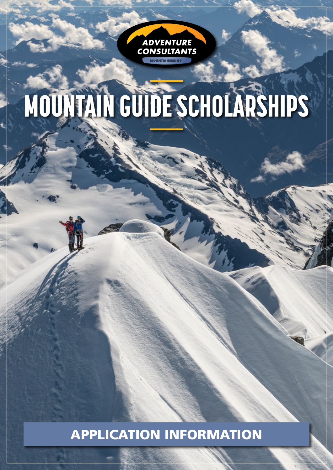# MOUNTAIN GUIDE SCHOLARSHIPS

**ADVENTURE CONSULTANTS** OUNTAINEERI

## APPLICATION INFORMATION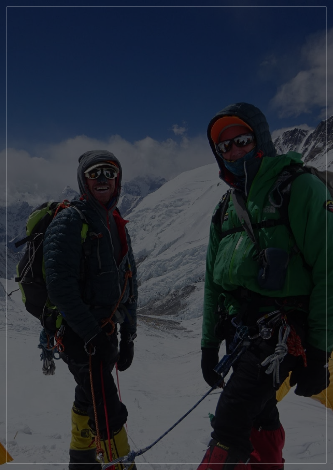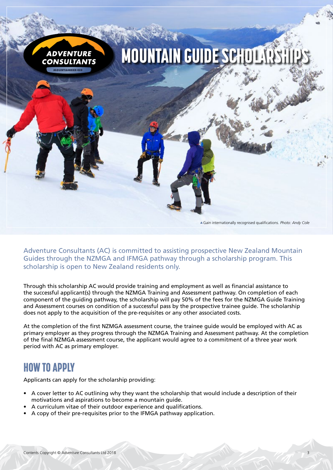

Adventure Consultants (AC) is committed to assisting prospective New Zealand Mountain Guides through the NZMGA and IFMGA pathway through a scholarship program. This scholarship is open to New Zealand residents only.

Through this scholarship AC would provide training and employment as well as financial assistance to the successful applicant(s) through the NZMGA Training and Assessment pathway. On completion of each component of the guiding pathway, the scholarship will pay 50% of the fees for the NZMGA Guide Training and Assessment courses on condition of a successful pass by the prospective trainee guide. The scholarship does not apply to the acquisition of the pre-requisites or any other associated costs.

At the completion of the first NZMGA assessment course, the trainee guide would be employed with AC as primary employer as they progress through the NZMGA Training and Assessment pathway. At the completion of the final NZMGA assessment course, the applicant would agree to a commitment of a three year work period with AC as primary employer.

### HOW TO APPLY

Applicants can apply for the scholarship providing:

- A cover letter to AC outlining why they want the scholarship that would include a description of their motivations and aspirations to become a mountain guide.
- A curriculum vitae of their outdoor experience and qualifications.
- A copy of their pre-requisites prior to the IFMGA pathway application.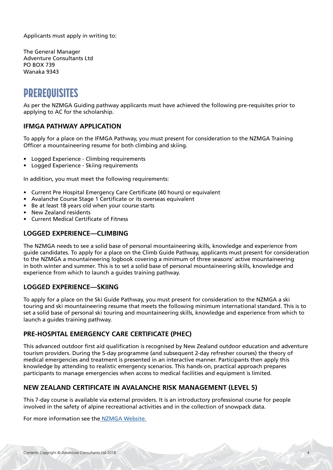Applicants must apply in writing to:

The General Manager Adventure Consultants Ltd PO BOX 739 Wanaka 9343

## PREREQUISITES

As per the NZMGA Guiding pathway applicants must have achieved the following pre-requisites prior to applying to AC for the scholarship.

#### **IFMGA PATHWAY APPLICATION**

To apply for a place on the IFMGA Pathway, you must present for consideration to the NZMGA Training Officer a mountaineering resume for both climbing and skiing.

- Logged Experience Climbing requirements
- Logged Experience Skiing requirements

In addition, you must meet the following requirements:

- Current Pre Hospital Emergency Care Certificate (40 hours) or equivalent
- Avalanche Course Stage 1 Certificate or its overseas equivalent
- Be at least 18 years old when your course starts
- New Zealand residents
- Current Medical Certificate of Fitness

#### **LOGGED EXPERIENCE—CLIMBING**

The NZMGA needs to see a solid base of personal mountaineering skills, knowledge and experience from guide candidates. To apply for a place on the Climb Guide Pathway, applicants must present for consideration to the NZMGA a mountaineering logbook covering a minimum of three seasons' active mountaineering in both winter and summer. This is to set a solid base of personal mountaineering skills, knowledge and experience from which to launch a guides training pathway.

#### **LOGGED EXPERIENCE—SKIING**

To apply for a place on the Ski Guide Pathway, you must present for consideration to the NZMGA a ski touring and ski mountaineering resume that meets the following minimum international standard. This is to set a solid base of personal ski touring and mountaineering skills, knowledge and experience from which to launch a guides training pathway.

#### **PRE-HOSPITAL EMERGENCY CARE CERTIFICATE (PHEC)**

This advanced outdoor first aid qualification is recognised by New Zealand outdoor education and adventure tourism providers. During the 5-day programme (and subsequent 2-day refresher courses) the theory of medical emergencies and treatment is presented in an interactive manner. Participants then apply this knowledge by attending to realistic emergency scenarios. This hands-on, practical approach prepares participants to manage emergencies when access to medical facilities and equipment is limited.

#### **NEW ZEALAND CERTIFICATE IN AVALANCHE RISK MANAGEMENT (LEVEL 5)**

This 7-day course is available via external providers. It is an introductory professional course for people involved in the safety of alpine recreational activities and in the collection of snowpack data.

For more information see th[e NZMGA Website.](https://mountainguides.org.nz/become-a-guide/become-an-nzmga-guide/)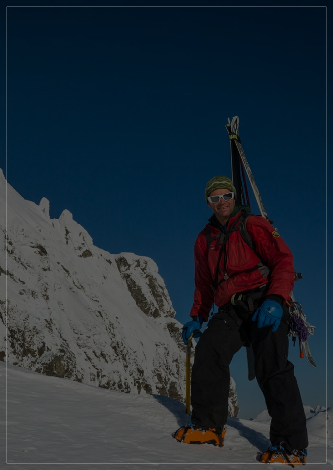